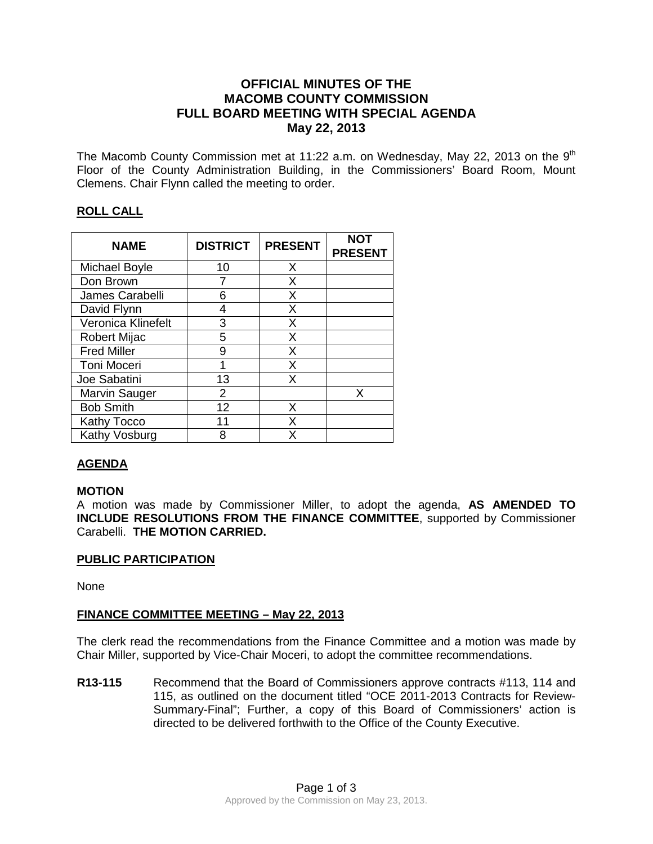# **OFFICIAL MINUTES OF THE MACOMB COUNTY COMMISSION FULL BOARD MEETING WITH SPECIAL AGENDA May 22, 2013**

The Macomb County Commission met at 11:22 a.m. on Wednesday, May 22, 2013 on the  $9<sup>th</sup>$ Floor of the County Administration Building, in the Commissioners' Board Room, Mount Clemens. Chair Flynn called the meeting to order.

## **ROLL CALL**

| <b>NAME</b>         | <b>DISTRICT</b> | <b>PRESENT</b> | <b>NOT</b><br><b>PRESENT</b> |
|---------------------|-----------------|----------------|------------------------------|
| Michael Boyle       | 10              | X              |                              |
| Don Brown           |                 | X              |                              |
| James Carabelli     | 6               | X              |                              |
| David Flynn         | 4               | X              |                              |
| Veronica Klinefelt  | 3               | X              |                              |
| <b>Robert Mijac</b> | 5               | X              |                              |
| <b>Fred Miller</b>  | 9               | X              |                              |
| Toni Moceri         | 1               | X              |                              |
| Joe Sabatini        | 13              | X              |                              |
| Marvin Sauger       | 2               |                | x                            |
| <b>Bob Smith</b>    | 12              | X              |                              |
| Kathy Tocco         | 11              | X              |                              |
| Kathy Vosburg       | 8               | x              |                              |

# **AGENDA**

## **MOTION**

A motion was made by Commissioner Miller, to adopt the agenda, **AS AMENDED TO INCLUDE RESOLUTIONS FROM THE FINANCE COMMITTEE**, supported by Commissioner Carabelli. **THE MOTION CARRIED.** 

#### **PUBLIC PARTICIPATION**

None

## **FINANCE COMMITTEE MEETING – May 22, 2013**

The clerk read the recommendations from the Finance Committee and a motion was made by Chair Miller, supported by Vice-Chair Moceri, to adopt the committee recommendations.

**R13-115** Recommend that the Board of Commissioners approve contracts #113, 114 and 115, as outlined on the document titled "OCE 2011-2013 Contracts for Review-Summary-Final"; Further, a copy of this Board of Commissioners' action is directed to be delivered forthwith to the Office of the County Executive.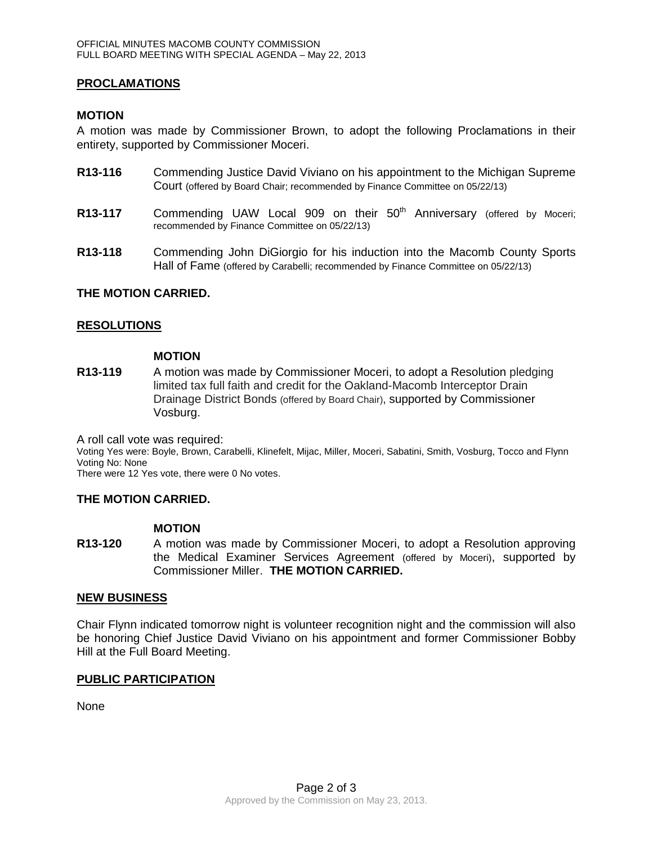### **PROCLAMATIONS**

### **MOTION**

A motion was made by Commissioner Brown, to adopt the following Proclamations in their entirety, supported by Commissioner Moceri.

- **R13-116** Commending Justice David Viviano on his appointment to the Michigan Supreme Court (offered by Board Chair; recommended by Finance Committee on 05/22/13)
- **R13-117** Commending UAW Local 909 on their 50<sup>th</sup> Anniversary (offered by Moceri; recommended by Finance Committee on 05/22/13)
- **R13-118** Commending John DiGiorgio for his induction into the Macomb County Sports Hall of Fame (offered by Carabelli; recommended by Finance Committee on 05/22/13)

#### **THE MOTION CARRIED.**

#### **RESOLUTIONS**

#### **MOTION**

**R13-119** A motion was made by Commissioner Moceri, to adopt a Resolution pledging limited tax full faith and credit for the Oakland-Macomb Interceptor Drain Drainage District Bonds (offered by Board Chair), supported by Commissioner Vosburg.

A roll call vote was required:

Voting Yes were: Boyle, Brown, Carabelli, Klinefelt, Mijac, Miller, Moceri, Sabatini, Smith, Vosburg, Tocco and Flynn Voting No: None

There were 12 Yes vote, there were 0 No votes.

#### **THE MOTION CARRIED.**

#### **MOTION**

**R13-120** A motion was made by Commissioner Moceri, to adopt a Resolution approving the Medical Examiner Services Agreement (offered by Moceri), supported by Commissioner Miller. **THE MOTION CARRIED.**

#### **NEW BUSINESS**

Chair Flynn indicated tomorrow night is volunteer recognition night and the commission will also be honoring Chief Justice David Viviano on his appointment and former Commissioner Bobby Hill at the Full Board Meeting.

#### **PUBLIC PARTICIPATION**

None